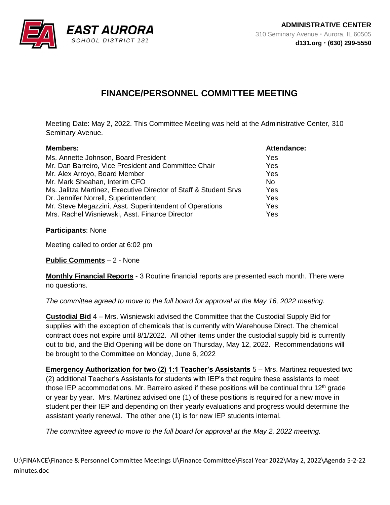

## **FINANCE/PERSONNEL COMMITTEE MEETING**

Meeting Date: May 2, 2022. This Committee Meeting was held at the Administrative Center, 310 Seminary Avenue.

| <b>Members:</b>                                                  | <b>Attendance:</b> |
|------------------------------------------------------------------|--------------------|
| Ms. Annette Johnson, Board President                             | Yes                |
| Mr. Dan Barreiro, Vice President and Committee Chair             | Yes                |
| Mr. Alex Arroyo, Board Member                                    | Yes                |
| Mr. Mark Sheahan, Interim CFO                                    | N <sub>0</sub>     |
| Ms. Jalitza Martinez, Executive Director of Staff & Student Srvs | Yes                |
| Dr. Jennifer Norrell, Superintendent                             | Yes                |
| Mr. Steve Megazzini, Asst. Superintendent of Operations          | Yes                |
| Mrs. Rachel Wisniewski, Asst. Finance Director                   | Yes                |

**Participants**: None

Meeting called to order at 6:02 pm

**Public Comments** – 2 - None

**Monthly Financial Reports** - 3 Routine financial reports are presented each month. There were no questions.

*The committee agreed to move to the full board for approval at the May 16, 2022 meeting.*

**Custodial Bid** 4 – Mrs. Wisniewski advised the Committee that the Custodial Supply Bid for supplies with the exception of chemicals that is currently with Warehouse Direct. The chemical contract does not expire until 8/1/2022. All other items under the custodial supply bid is currently out to bid, and the Bid Opening will be done on Thursday, May 12, 2022. Recommendations will be brought to the Committee on Monday, June 6, 2022

**Emergency Authorization for two (2) 1:1 Teacher's Assistants** 5 – Mrs. Martinez requested two (2) additional Teacher's Assistants for students with IEP's that require these assistants to meet those IEP accommodations. Mr. Barreiro asked if these positions will be continual thru  $12<sup>th</sup>$  grade or year by year. Mrs. Martinez advised one (1) of these positions is required for a new move in student per their IEP and depending on their yearly evaluations and progress would determine the assistant yearly renewal. The other one (1) is for new IEP students internal.

*The committee agreed to move to the full board for approval at the May 2, 2022 meeting.*

U:\FINANCE\Finance & Personnel Committee Meetings U\Finance Committee\Fiscal Year 2022\May 2, 2022\Agenda 5-2-22 minutes.doc